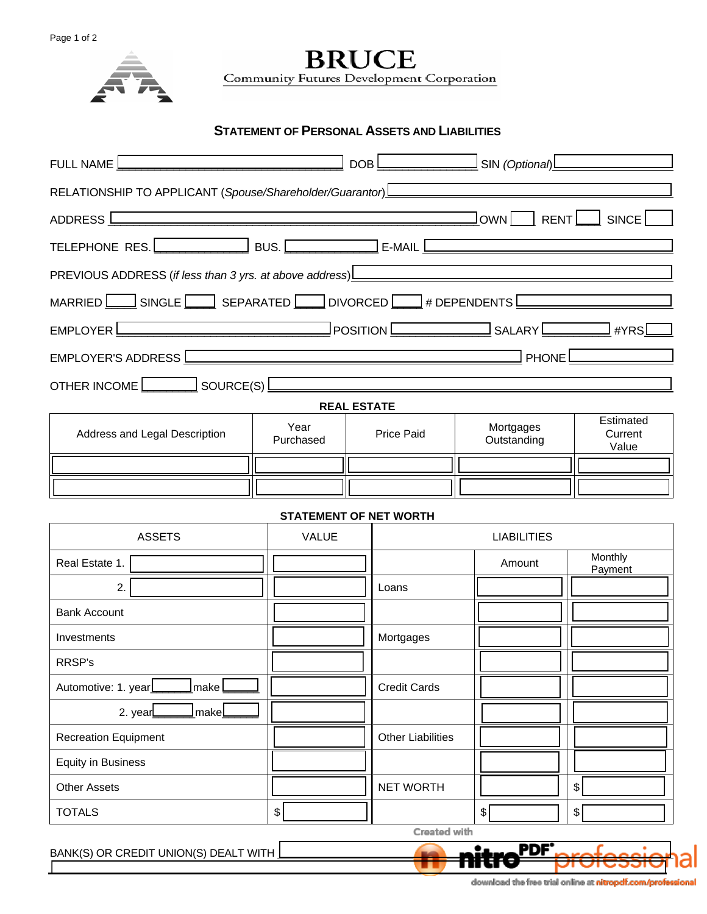

**BRUCE** Community Futures Development Corporation

## **STATEMENT OF PERSONAL ASSETS AND LIABILITIES**

| FULL NAME                                                                                                                                                                                                                                                                             |                               | DOB               | <u>________________</u> SIN (Optional)_____________ |                          |                               |  |  |  |
|---------------------------------------------------------------------------------------------------------------------------------------------------------------------------------------------------------------------------------------------------------------------------------------|-------------------------------|-------------------|-----------------------------------------------------|--------------------------|-------------------------------|--|--|--|
| RELATIONSHIP TO APPLICANT (Spouse/Shareholder/Guarantor) <b>L______________________</b>                                                                                                                                                                                               |                               |                   |                                                     |                          |                               |  |  |  |
| $J_{\text{OWN}}$ $\Box$<br>RENT   SINCE<br>ADDRESS L<br>the control of the control of the control of the control of the control of the control of the control of the control of the control of the control of the control of the control of the control of the control of the control |                               |                   |                                                     |                          |                               |  |  |  |
| TELEPHONE RES. BUS. BUS. EXAMPLE BUSE AND LEADER TO A RESERVE THE RESERVE TO BUS.                                                                                                                                                                                                     |                               |                   |                                                     |                          |                               |  |  |  |
| PREVIOUS ADDRESS (if less than 3 yrs. at above address)<br><u>Land and announce</u> example and announce the setting of the setting of the setting of the setting of the setting of the setting of the setting of the setting of the                                                  |                               |                   |                                                     |                          |                               |  |  |  |
| MARRIED $\boxed{\phantom{a}}$ SINGLE $\boxed{\phantom{a}}$ SEPARATED $\boxed{\phantom{a}}$ DIVORCED $\boxed{\phantom{a}}$ # DEPENDENTS $\boxed{\phantom{a}}$                                                                                                                          |                               |                   |                                                     |                          |                               |  |  |  |
| EMPLOYER <u>Constant and Constant of Position Communications</u> SALARY Communications                                                                                                                                                                                                |                               |                   |                                                     |                          | #YRS                          |  |  |  |
| EMPLOYER'S ADDRESS <u>Learner and the series of the series of the series of the series of the series of the series of the series of the series of the series of the series of the series of the series of the series of the seri</u><br><b>PHONE</b>                                  |                               |                   |                                                     |                          |                               |  |  |  |
| OTHER INCOME                                                                                                                                                                                                                                                                          |                               |                   |                                                     |                          |                               |  |  |  |
| <b>REAL ESTATE</b>                                                                                                                                                                                                                                                                    |                               |                   |                                                     |                          |                               |  |  |  |
| Address and Legal Description                                                                                                                                                                                                                                                         | Year<br>Purchased             | <b>Price Paid</b> |                                                     | Mortgages<br>Outstanding | Estimated<br>Current<br>Value |  |  |  |
|                                                                                                                                                                                                                                                                                       |                               |                   |                                                     |                          |                               |  |  |  |
|                                                                                                                                                                                                                                                                                       |                               |                   |                                                     |                          |                               |  |  |  |
|                                                                                                                                                                                                                                                                                       | <b>STATEMENT OF NET WORTH</b> |                   |                                                     |                          |                               |  |  |  |
| <b>ASSETS</b>                                                                                                                                                                                                                                                                         | <b>VALUE</b>                  |                   |                                                     | <b>LIABILITIES</b>       |                               |  |  |  |
| Real Estate 1.                                                                                                                                                                                                                                                                        |                               |                   |                                                     | Amount                   | Monthly<br>Payment            |  |  |  |
| 2.                                                                                                                                                                                                                                                                                    |                               |                   | Loans                                               |                          |                               |  |  |  |
| <b>Bank Account</b>                                                                                                                                                                                                                                                                   |                               |                   |                                                     |                          |                               |  |  |  |
| Investments                                                                                                                                                                                                                                                                           |                               |                   | Mortgages                                           |                          |                               |  |  |  |
| RRSP's                                                                                                                                                                                                                                                                                |                               |                   |                                                     |                          |                               |  |  |  |
| Automotive: 1. year<br>make                                                                                                                                                                                                                                                           |                               |                   | <b>Credit Cards</b>                                 |                          |                               |  |  |  |
| 2. year<br>_make <u>l</u>                                                                                                                                                                                                                                                             |                               |                   |                                                     |                          |                               |  |  |  |
| <b>Recreation Equipment</b>                                                                                                                                                                                                                                                           |                               |                   | <b>Other Liabilities</b>                            |                          |                               |  |  |  |
| <b>Equity in Business</b>                                                                                                                                                                                                                                                             |                               |                   |                                                     |                          |                               |  |  |  |
| <b>Other Assets</b>                                                                                                                                                                                                                                                                   |                               |                   | <b>NET WORTH</b>                                    |                          | \$                            |  |  |  |
| <b>TOTALS</b>                                                                                                                                                                                                                                                                         | \$                            |                   |                                                     | $\frac{1}{2}$            | \$                            |  |  |  |
| Created with                                                                                                                                                                                                                                                                          |                               |                   |                                                     |                          |                               |  |  |  |
| BANK(S) OR CREDIT UNION(S) DEALT WITH                                                                                                                                                                                                                                                 |                               |                   |                                                     | PDF.                     |                               |  |  |  |